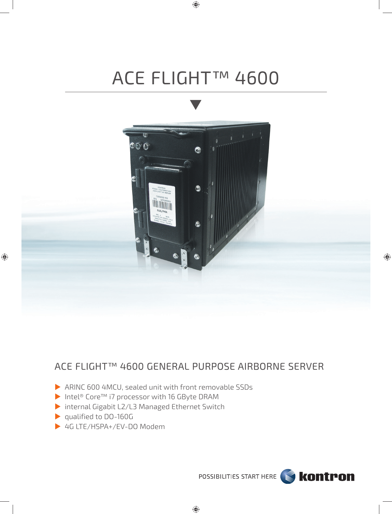# ACE FLIGHT™ 4600

 $\bigoplus$ 



## ACE FLIGHT™ 4600 GENERAL PURPOSE AIRBORNE SERVER

- ARINC 600 4MCU, sealed unit with front removable SSDs
- Intel® Core™ i7 processor with 16 GByte DRAM
- internal Gigabit L2/L3 Managed Ethernet Switch
- qualified to DO-160G
- ▶ 4G LTE/HSPA+/EV-DO Modem



 $\bigoplus$